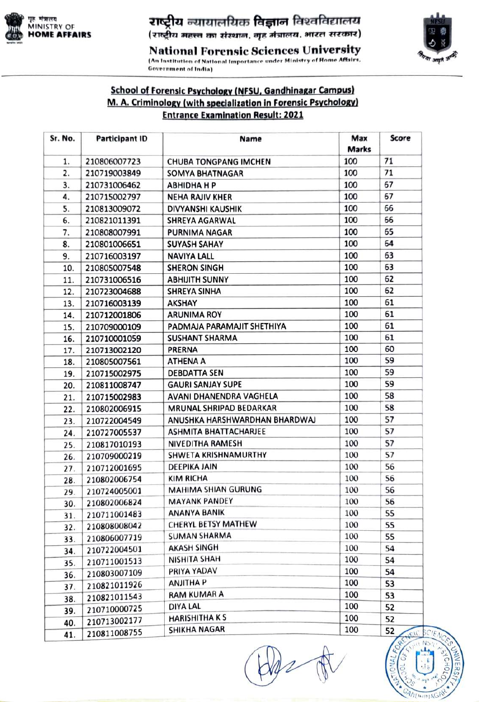

Tt ATITETtYs fesa faeafrerrara NFSU MINISTRY OF



National Forensic Sciences University (An Institution of National Importance under Ministry of Home Affairs,

Government of India)

## School of Forensic Psychology (NFSU, Gandhinagar Campus)<br>M. A. Criminology (with specialization in Forensic Psychology) **Entrance Examination Result: 2021**

| Sr. No. | <b>Participant ID</b> | Name                           | Max<br><b>Marks</b> | Score      |
|---------|-----------------------|--------------------------------|---------------------|------------|
| 1.      | 210806007723          | <b>CHUBA TONGPANG IMCHEN</b>   | 100                 | 71         |
| 2.      | 210719003849          | <b>SOMYA BHATNAGAR</b>         | 100                 | 71         |
| 3.      | 210731006462          | <b>ABHIDHA H P</b>             | 100                 | 67         |
| 4.      | 210715002797          | <b>NEHA RAJIV KHER</b>         | 100                 | 67         |
| 5.      | 210813009072          | DIVYANSHI KAUSHIK              | 100                 | 66         |
| 6.      | 210821011391          | <b>SHREYA AGARWAL</b>          | 100                 | 66         |
| 7.      | 210808007991          | <b>PURNIMA NAGAR</b>           | 100                 | 65         |
| 8.      | 210801006651          | <b>SUYASH SAHAY</b>            | 100                 | 64         |
| 9.      | 210716003197          | <b>NAVIYA LALL</b>             | 100                 | 63         |
| 10.     | 210805007548          | <b>SHERON SINGH</b>            | 100                 | 63         |
| 11.     | 210731006516          | <b>ABHIJITH SUNNY</b>          | 100                 | 62         |
| 12.     | 210723004688          | <b>SHREYA SINHA</b>            | 100                 | 62         |
| 13.     | 210716003139          | <b>AKSHAY</b>                  | 100                 | 61         |
| 14.     | 210712001806          | <b>ARUNIMA ROY</b>             | 100                 | 61         |
| 15.     | 210709000109          | PADMAJA PARAMAJIT SHETHIYA     | 100                 | 61         |
| 16.     | 210710001059          | <b>SUSHANT SHARMA</b>          | 100                 | 61         |
| 17.     | 210713002120          | <b>PRERNA</b>                  | 100                 | 60         |
| 18.     | 210805007561          | <b>ATHENA A</b>                | 100                 | 59         |
| 19.     | 210715002975          | <b>DEBDATTA SEN</b>            | 100                 | 59         |
| 20.     | 210811008747          | <b>GAURI SANJAY SUPE</b>       | 100                 | 59         |
| 21.     | 210715002983          | AVANI DHANENDRA VAGHELA        | 100                 | 58         |
| 22.     | 210802006915          | <b>MRUNAL SHRIPAD BEDARKAR</b> | 100                 | 58         |
| 23.     | 210722004549          | ANUSHKA HARSHWARDHAN BHARDWAJ  | 100                 | 57         |
| 24.     | 210727005537          | <b>ASHMITA BHATTACHARJEE</b>   | 100                 | 57         |
| 25.     | 210817010193          | <b>NIVEDITHA RAMESH</b>        | 100                 | 57         |
| 26.     | 210709000219          | SHWETA KRISHNAMURTHY           | 100                 | 57         |
| 27.     | 210712001695          | <b>DEEPIKA JAIN</b>            | 100                 | 56         |
| 28.     | 210802006754          | <b>KIM RICHA</b>               | 100                 | 56         |
| 29.     | 210724005001          | <b>MAHIMA SHIAN GURUNG</b>     | 100                 | 56         |
| 30.     | 210802006824          | <b>MAYANK PANDEY</b>           | 100                 | 56         |
| 31.     | 210711001483          | <b>ANANYA BANIK</b>            | 100                 | 55         |
| 32.     | 210808008042          | CHERYL BETSY MATHEW            | 100                 | 55         |
| 33.     | 210806007719          | <b>SUMAN SHARMA</b>            | 100                 | 55         |
| 34.     | 210722004501          | <b>AKASH SINGH</b>             | 100                 | 54         |
| 35.     | 210711001513          | <b>NISHITA SHAH</b>            | 100                 | 54         |
| 36.     | 210803007109          | PRIYA YADAV                    | 100                 | 54         |
| 37.     | 210821011926          | <b>ANJITHA P</b>               | 100                 | 53         |
| 38.     | 210821011543          | <b>RAM KUMAR A</b>             | 100                 | 53         |
| 39.     | 210710000725          | DIYA LAL                       | 100                 | 52         |
| 40.     | 210713002177          | <b>HARISHITHA K S</b>          | 100                 | 52         |
| 41.     | 210811008755          | SHIKHA NAGAR                   | 100                 | 52<br>ISIC |

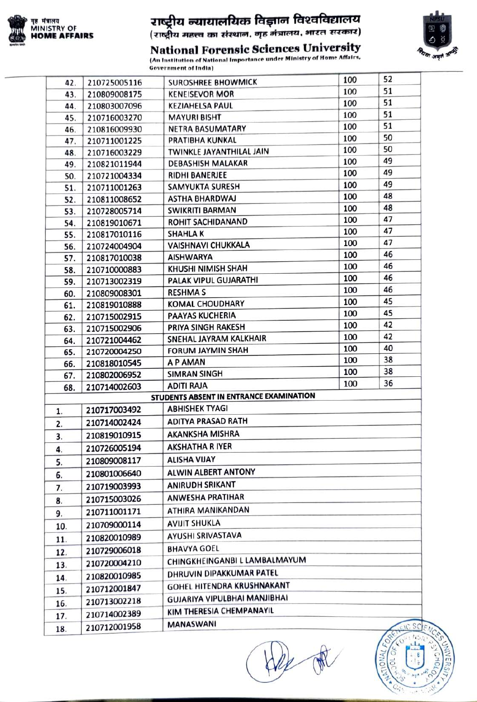

## **राष्ट्रीय न्यायालयिक विज्ञान विश्वविद्यालय**<br>(राष्ट्रीय महत्त्व का संस्थान, गृह मंत्रालय, भारत सरकार)



**National Forensic Sciences University** 

(An Institution of National Importance under Ministry of Home Affairs, **Government of India)** 

| 42. | 210725005116 | <b>SUROSHREE BHOWMICK</b>               | 100 | 52 |
|-----|--------------|-----------------------------------------|-----|----|
| 43. | 210809008175 | <b>KENEISEVOR MOR</b>                   | 100 | 51 |
| 44. | 210803007096 | <b>KEZIAHELSA PAUL</b>                  | 100 | 51 |
| 45. | 210716003270 | <b>MAYURI BISHT</b>                     | 100 | 51 |
| 46. | 210816009930 | <b>NETRA BASUMATARY</b>                 | 100 | 51 |
| 47. | 210711001225 | PRATIBHA KUNKAL                         | 100 | 50 |
| 48. | 210716003229 | TWINKLE JAYANTHILAL JAIN                | 100 | 50 |
| 49. | 210821011944 | <b>DEBASHISH MALAKAR</b>                | 100 | 49 |
| 50. | 210721004334 | <b>RIDHI BANERJEE</b>                   | 100 | 49 |
| 51. | 210711001263 | SAMYUKTA SURESH                         | 100 | 49 |
| 52. | 210811008652 | <b>ASTHA BHARDWAJ</b>                   | 100 | 48 |
| 53. | 210728005714 | SWIKRITI BARMAN                         | 100 | 48 |
| 54. | 210819010671 | <b>ROHIT SACHIDANAND</b>                | 100 | 47 |
| 55. | 210817010116 | <b>SHAHLAK</b>                          | 100 | 47 |
| 56. | 210724004904 | VAISHNAVI CHUKKALA                      | 100 | 47 |
| 57. | 210817010038 | <b>AISHWARYA</b>                        | 100 | 46 |
| 58. | 210710000883 | KHUSHI NIMISH SHAH                      | 100 | 46 |
| 59. | 210713002319 | PALAK VIPUL GUJARATHI                   | 100 | 46 |
| 60. | 210809008301 | <b>RESHMA S</b>                         | 100 | 46 |
| 61. | 210819010888 | <b>KOMAL CHOUDHARY</b>                  | 100 | 45 |
| 62. | 210715002915 | <b>PAAYAS KUCHERIA</b>                  | 100 | 45 |
| 63. | 210715002906 | PRIYA SINGH RAKESH                      | 100 | 42 |
| 64. | 210721004462 | SNEHAL JAYRAM KALKHAIR                  | 100 | 42 |
| 65. | 210720004250 | <b>FORUM JAYMIN SHAH</b>                | 100 | 40 |
| 66. | 210818010545 | A P AMAN                                | 100 | 38 |
| 67. | 210802006952 | <b>SIMRAN SINGH</b>                     | 100 | 38 |
| 68. | 210714002603 | <b>ADITI RAJA</b>                       | 100 | 36 |
|     |              | STUDENTS ABSENT IN ENTRANCE EXAMINATION |     |    |
| 1.  | 210717003492 | <b>ABHISHEK TYAGI</b>                   |     |    |
| 2.  | 210714002424 | <b>ADITYA PRASAD RATH</b>               |     |    |
| 3.  | 210819010915 | <b>AKANKSHA MISHRA</b>                  |     |    |
| 4.  | 210726005194 | <b>AKSHATHA RIYER</b>                   |     |    |
| 5.  | 210809008117 | <b>ALISHA VIJAY</b>                     |     |    |
| 6.  | 210801006640 | ALWIN ALBERT ANTONY                     |     |    |
| 7.  | 210719003993 | <b>ANIRUDH SRIKANT</b>                  |     |    |
|     | 210715003026 | <b>ANWESHA PRATIHAR</b>                 |     |    |
| 8.  | 210711001171 | ATHIRA MANIKANDAN                       |     |    |
| 9.  |              | <b>AVIJIT SHUKLA</b>                    |     |    |
| 10. | 210709000114 | <b>AYUSHI SRIVASTAVA</b>                |     |    |
| 11. | 210820010989 |                                         |     |    |
| 12. | 210729006018 | <b>BHAVYA GOEL</b>                      |     |    |
| 13. | 210720004210 | CHINGKHEINGANBI L LAMBALMAYUM           |     |    |
| 14. | 210820010985 | DHRUVIN DIPAKKUMAR PATEL                |     |    |
|     | 210712001847 | GOHEL HITENDRA KRUSHNAKANT              |     |    |
| 15. |              |                                         |     |    |
| 16. | 210713002218 | GUJARIYA VIPULBHAI MANJIBHAI            |     |    |
| 17. | 210714002389 | KIM THERESIA CHEMPANAYIL                |     |    |